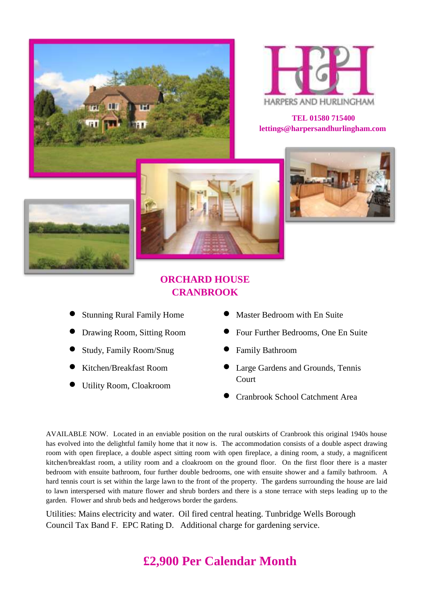



**TEL 01580 715400 lettings@harpersandhurlingham.com**







## **ORCHARD HOUSE CRANBROOK**

- Stunning Rural Family Home
- Drawing Room, Sitting Room
- Study, Family Room/Snug
- Kitchen/Breakfast Room
- Utility Room, Cloakroom
- Master Bedroom with En Suite
- Four Further Bedrooms, One En Suite
- Family Bathroom
- Large Gardens and Grounds, Tennis **Court**
- Cranbrook School Catchment Area

AVAILABLE NOW. Located in an enviable position on the rural outskirts of Cranbrook this original 1940s house has evolved into the delightful family home that it now is. The accommodation consists of a double aspect drawing room with open fireplace, a double aspect sitting room with open fireplace, a dining room, a study, a magnificent kitchen/breakfast room, a utility room and a cloakroom on the ground floor. On the first floor there is a master bedroom with ensuite bathroom, four further double bedrooms, one with ensuite shower and a family bathroom. A hard tennis court is set within the large lawn to the front of the property. The gardens surrounding the house are laid to lawn interspersed with mature flower and shrub borders and there is a stone terrace with steps leading up to the garden. Flower and shrub beds and hedgerows border the gardens.

Utilities: Mains electricity and water. Oil fired central heating. Tunbridge Wells Borough Council Tax Band F. EPC Rating D. Additional charge for gardening service.

## **£2,900 Per Calendar Month**